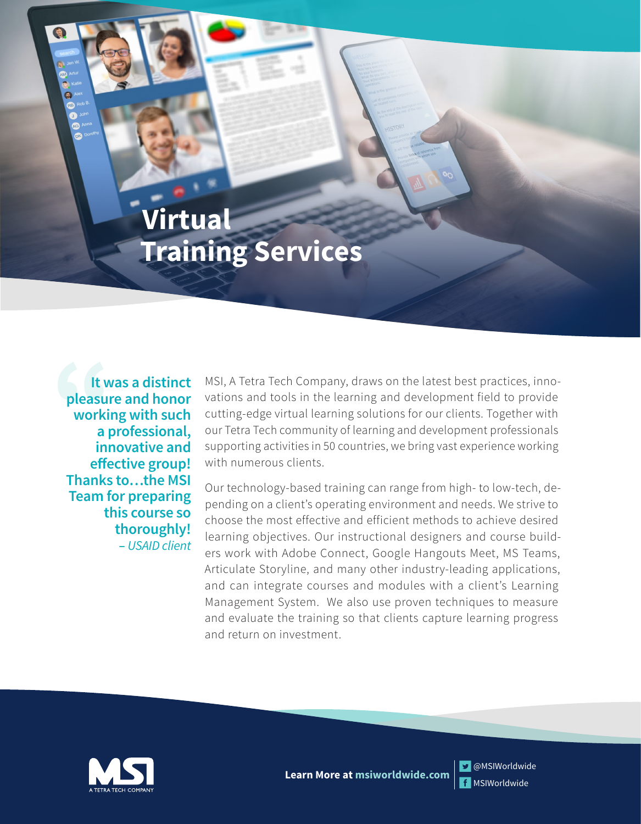# **Virtual Training Services**

**It was a distinct pleasure and honor working with such a professional, innovative and effective group! Thanks to…the MSI Team for preparing this course so thoroughly! –** *USAID client*

It was a distinct MSI, A Tetra Tech Company, draws on the latest best practices, inno-<br>pleasure and honor vations and tools in the learning and development field to provide<br>working with such cutting-edge virtual learning s vations and tools in the learning and development field to provide cutting-edge virtual learning solutions for our clients. Together with our Tetra Tech community of learning and development professionals supporting activities in 50 countries, we bring vast experience working with numerous clients.

> Our technology-based training can range from high- to low-tech, depending on a client's operating environment and needs. We strive to choose the most effective and efficient methods to achieve desired learning objectives. Our instructional designers and course builders work with Adobe Connect, Google Hangouts Meet, MS Teams, Articulate Storyline, and many other industry-leading applications, and can integrate courses and modules with a client's Learning Management System. We also use proven techniques to measure and evaluate the training so that clients capture learning progress and return on investment.



f MSIWorldwide